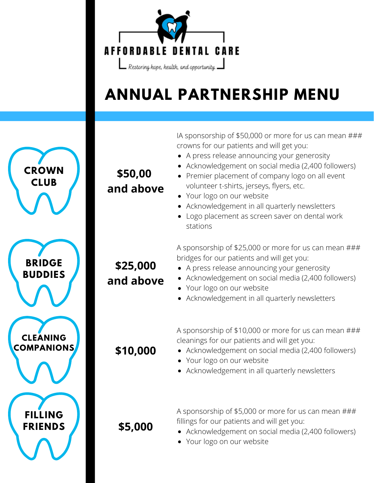

## **ANNUAL PARTNERSHIP MENU**